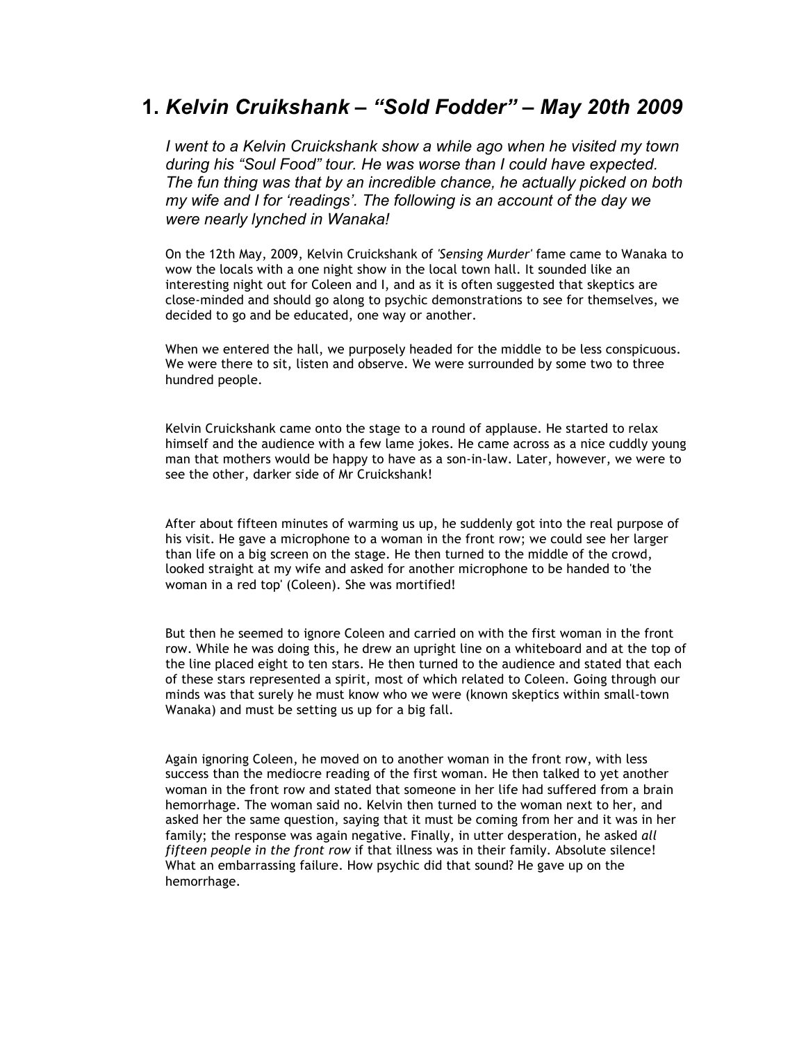## **1.** *Kelvin Cruikshank – "Sold Fodder" – May 20th 2009*

*I went to a Kelvin Cruickshank show a while ago when he visited my town during his "Soul Food" tour. He was worse than I could have expected. The fun thing was that by an incredible chance, he actually picked on both my wife and I for 'readings'. The following is an account of the day we were nearly lynched in Wanaka!* 

On the 12th May, 2009, Kelvin Cruickshank of *'Sensing Murder'* fame came to Wanaka to wow the locals with a one night show in the local town hall. It sounded like an interesting night out for Coleen and I, and as it is often suggested that skeptics are close-minded and should go along to psychic demonstrations to see for themselves, we decided to go and be educated, one way or another.

When we entered the hall, we purposely headed for the middle to be less conspicuous. We were there to sit, listen and observe. We were surrounded by some two to three hundred people.

Kelvin Cruickshank came onto the stage to a round of applause. He started to relax himself and the audience with a few lame jokes. He came across as a nice cuddly young man that mothers would be happy to have as a son-in-law. Later, however, we were to see the other, darker side of Mr Cruickshank!

After about fifteen minutes of warming us up, he suddenly got into the real purpose of his visit. He gave a microphone to a woman in the front row; we could see her larger than life on a big screen on the stage. He then turned to the middle of the crowd, looked straight at my wife and asked for another microphone to be handed to 'the woman in a red top' (Coleen). She was mortified!

But then he seemed to ignore Coleen and carried on with the first woman in the front row. While he was doing this, he drew an upright line on a whiteboard and at the top of the line placed eight to ten stars. He then turned to the audience and stated that each of these stars represented a spirit, most of which related to Coleen. Going through our minds was that surely he must know who we were (known skeptics within small-town Wanaka) and must be setting us up for a big fall.

Again ignoring Coleen, he moved on to another woman in the front row, with less success than the mediocre reading of the first woman. He then talked to yet another woman in the front row and stated that someone in her life had suffered from a brain hemorrhage. The woman said no. Kelvin then turned to the woman next to her, and asked her the same question, saying that it must be coming from her and it was in her family; the response was again negative. Finally, in utter desperation, he asked *all fifteen people in the front row* if that illness was in their family. Absolute silence! What an embarrassing failure. How psychic did that sound? He gave up on the hemorrhage.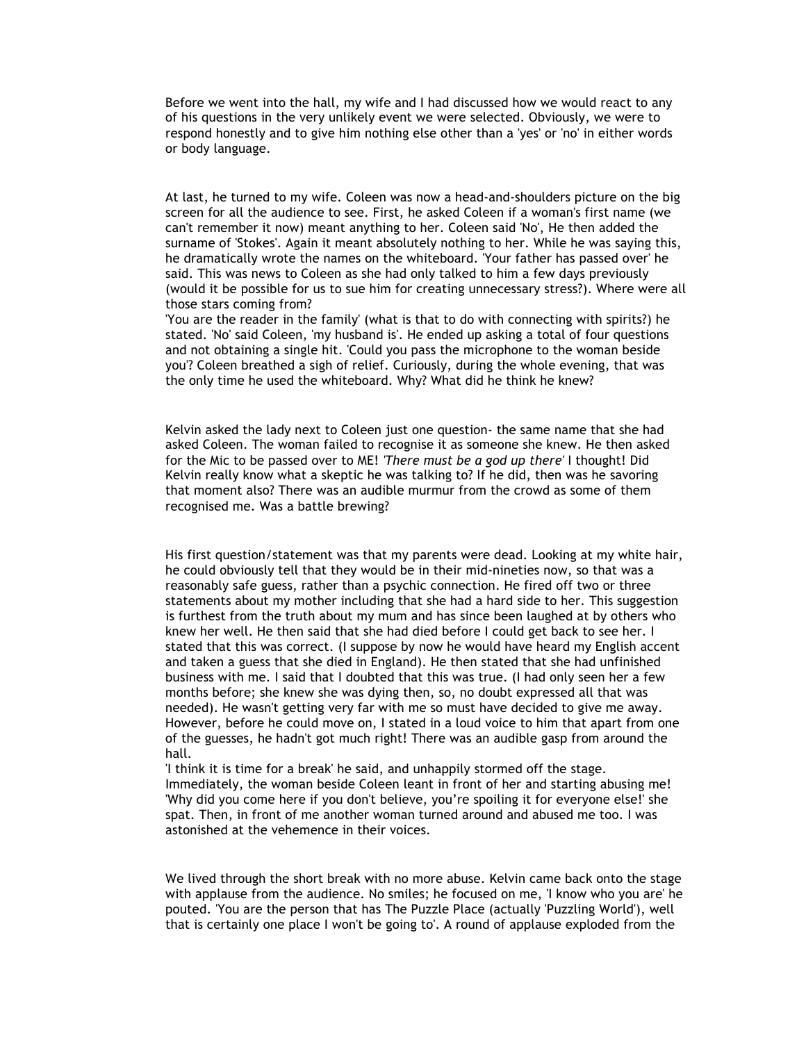Before we went into the hall, my wife and I had discussed how we would react to any of his questions in the very unlikely event we were selected. Obviously, we were to respond honestly and to give him nothing else other than a 'yes' or 'no' in either words or body language.

At last, he turned to my wife. Coleen was now a head-and-shoulders picture on the big screen for all the audience to see. First, he asked Coleen if a woman's first name (we can't remember it now) meant anything to her. Coleen said 'No', He then added the surname of 'Stokes'. Again it meant absolutely nothing to her. While he was saying this, he dramatically wrote the names on the whiteboard. 'Your father has passed over' he said. This was news to Coleen as she had only talked to him a few days previously (would it be possible for us to sue him for creating unnecessary stress?). Where were all those stars coming from?

'You are the reader in the family' (what is that to do with connecting with spirits?) he stated. 'No' said Coleen, 'my husband is'. He ended up asking a total of four questions and not obtaining a single hit. 'Could you pass the microphone to the woman beside you'? Coleen breathed a sigh of relief. Curiously, during the whole evening, that was the only time he used the whiteboard. Why? What did he think he knew?

Kelvin asked the lady next to Coleen just one question- the same name that she had asked Coleen. The woman failed to recognise it as someone she knew. He then asked for the Mic to be passed over to ME! *'There must be a god up there'* I thought! Did Kelvin really know what a skeptic he was talking to? If he did, then was he savoring that moment also? There was an audible murmur from the crowd as some of them recognised me. Was a battle brewing?

His first question/statement was that my parents were dead. Looking at my white hair, he could obviously tell that they would be in their mid-nineties now, so that was a reasonably safe guess, rather than a psychic connection. He fired off two or three statements about my mother including that she had a hard side to her. This suggestion is furthest from the truth about my mum and has since been laughed at by others who knew her well. He then said that she had died before I could get back to see her. I stated that this was correct. (I suppose by now he would have heard my English accent and taken a guess that she died in England). He then stated that she had unfinished business with me. I said that I doubted that this was true. (I had only seen her a few months before; she knew she was dying then, so, no doubt expressed all that was needed). He wasn't getting very far with me so must have decided to give me away. However, before he could move on, I stated in a loud voice to him that apart from one of the guesses, he hadn't got much right! There was an audible gasp from around the hall.

'I think it is time for a break' he said, and unhappily stormed off the stage. Immediately, the woman beside Coleen leant in front of her and starting abusing me! 'Why did you come here if you don't believe, you're spoiling it for everyone else!' she spat. Then, in front of me another woman turned around and abused me too. I was astonished at the vehemence in their voices.

We lived through the short break with no more abuse. Kelvin came back onto the stage with applause from the audience. No smiles; he focused on me, 'I know who you are' he pouted. 'You are the person that has The Puzzle Place (actually 'Puzzling World'), well that is certainly one place I won't be going to'. A round of applause exploded from the